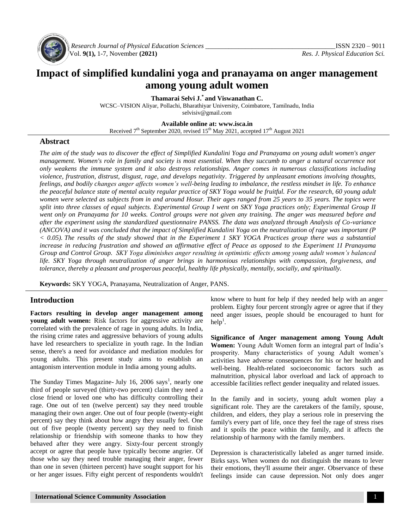

*Research Journal of Physical Education Sciences \_\_\_\_\_\_\_\_\_\_\_\_\_\_\_\_\_\_\_\_\_\_\_\_\_\_\_\_\_\_\_\_\_\_\_\_\_\_\_*ISSN 2320 – 9011 Vol. **9(1),** 1-7, November **(2021)** *Res. J. Physical Education Sci.*

# **Impact of simplified kundalini yoga and pranayama on anger management among young adult women**

**Thamarai Selvi J.\* and Viswanathan C.**

WCSC–VISION Aliyar, Pollachi, Bharathiyar University, Coimbatore, Tamilnadu, India [selvisiv@gmail.com](mailto:selvisiv@gmail.com)

**Available online at: [www.isca.in](http://www.isca.in/)**

Received  $7<sup>th</sup>$  September 2020, revised  $15<sup>th</sup>$  May 2021, accepted  $17<sup>th</sup>$  August 2021

#### **Abstract**

*The aim of the study was to discover the effect of Simplified Kundalini Yoga and Pranayama on young adult women's anger*  management. Women's role in family and society is most essential. When they succumb to anger a natural occurrence not *only weakens the immune system and it also destroys relationships. Anger comes in numerous classifications including violence, frustration, distrust, disgust, rage, and develops negativity. Triggered by unpleasant emotions involving thoughts, feelings, and bodily changes anger affects women's well-being leading to imbalance, the restless mindset in life. To enhance the peaceful balance state of mental acuity regular practice of SKY Yoga would be fruitful. For the research, 60 young adult women were selected as subjects from in and around Hosur. Their ages ranged from 25 years to 35 years. The topics were split into three classes of equal subjects. Experimental Group I went on SKY Yoga practices only; Experimental Group II*  went only on Pranayama for 10 weeks. Control groups were not given any training. The anger was measured before and *after the experiment using the standardized questionnaire PANSS. The data was analyzed through Analysis of Co-variance (ANCOVA) and it was concluded that the impact of Simplified Kundalini Yoga on the neutralization of rage was important (P < 0.05). The results of the study showed that in the Experiment 1 SKY YOGA Practices group there was a substantial increase in reducing frustration and showed an affirmative effect of Peace as opposed to the Experiment 1I Pranayama Group and Control Group. SKY Yoga diminishes anger resulting in optimistic effects among young adult women's balanced life. SKY Yoga through neutralization of anger brings in harmonious relationships with compassion, forgiveness, and tolerance, thereby a pleasant and prosperous peaceful, healthy life physically, mentally, socially, and spiritually.*

**Keywords:** SKY YOGA, Pranayama, Neutralization of Anger, PANS.

## **Introduction**

**Factors resulting in develop anger management among young adult women:** Risk factors for aggressive activity are correlated with the prevalence of rage in young adults. In India, the rising crime rates and aggressive behaviors of young adults have led researchers to specialize in youth rage. In the Indian sense, there's a need for avoidance and mediation modules for young adults. This present study aims to establish an antagonism intervention module in India among young adults.

The Sunday Times Magazine- July 16, 2006 says<sup>1</sup>, nearly one third of people surveyed (thirty-two percent) claim they need a close friend or loved one who has difficulty controlling their rage. One out of ten (twelve percent) say they need trouble managing their own anger. One out of four people (twenty-eight percent) say they think about how angry they usually feel. One out of five people (twenty percent) say they need to finish relationship or friendship with someone thanks to how they behaved after they were angry. Sixty-four percent strongly accept or agree that people have typically become angrier. Of those who say they need trouble managing their anger, fewer than one in seven (thirteen percent) have sought support for his or her anger issues. Fifty eight percent of respondents wouldn't know where to hunt for help if they needed help with an anger problem. Eighty four percent strongly agree or agree that if they need anger issues, people should be encouraged to hunt for  $\text{help}^1$ .

**Significance of Anger management among Young Adult Women:** Young Adult Women form an integral part of India's prosperity. Many characteristics of young Adult women's activities have adverse consequences for his or her health and well-being. Health-related socioeconomic factors such as malnutrition, physical labor overload and lack of approach to accessible facilities reflect gender inequality and related issues.

In the family and in society, young adult women play a significant role. They are the caretakers of the family, spouse, children, and elders, they play a serious role in preserving the family's every part of life, once they feel the rage of stress rises and it spoils the peace within the family, and it affects the relationship of harmony with the family members.

Depression is characteristically labeled as anger turned inside. Birks says. When women do not distinguish the means to lever their emotions, they'll assume their anger. Observance of these feelings inside can cause depression. Not only does anger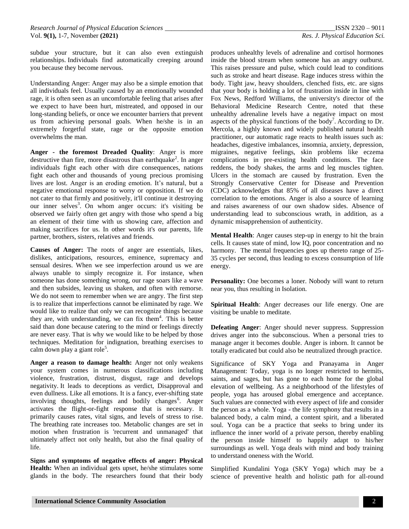subdue your structure, but it can also even extinguish relationships. Individuals find automatically creeping around you because they become nervous.

Understanding Anger: Anger may also be a simple emotion that all individuals feel. Usually caused by an emotionally wounded rage, it is often seen as an uncomfortable feeling that arises after we expect to have been hurt, mistreated, and opposed in our long-standing beliefs, or once we encounter barriers that prevent us from achieving personal goals. When he/she is in an extremely forgetful state, rage or the opposite emotion overwhelms the man.

**Anger - the foremost Dreaded Quality**: Anger is more destructive than fire, more disastrous than earthquake<sup>2</sup>. In anger individuals fight each other with dire consequences, nations fight each other and thousands of young precious promising lives are lost. Anger is an eroding emotion. It's natural, but a negative emotional response to worry or opposition. If we do not cater to that firmly and positively, it'll continue it destroying our inner selves<sup>3</sup>. On whom anger occurs: it's visiting be observed we fairly often get angry with those who spend a big an element of their time with us showing care, affection and making sacrifices for us. In other words it's our parents, life partner, brothers, sisters, relatives and friends.

**Causes of Anger:** The roots of anger are essentials, likes, dislikes, anticipations, resources, eminence, supremacy and sensual desires. When we see imperfection around us we are always unable to simply recognize it. For instance, when someone has done something wrong, our rage soars like a wave and then subsides, leaving us shaken, and often with remorse. We do not seem to remember when we are angry. The first step is to realize that imperfections cannot be eliminated by rage. We would like to realize that only we can recognize things because they are, with understanding, we can fix them<sup>4</sup>. This is better said than done because catering to the mind or feelings directly are never easy. That is why we would like to be helped by those techniques. Meditation for indignation, breathing exercises to calm down play a giant role<sup>5</sup>.

**Anger a reason to damage health:** Anger not only weakens your system comes in numerous classifications including violence, frustration, distrust, disgust, rage and develops negativity. It leads to deceptions as verdict, Disapproval and even dullness. Like all emotions. It is a fancy, ever-shifting state involving thoughts, feelings and bodily changes<sup>6</sup>. Anger activates the flight-or-fight response that is necessary. It primarily causes rates, vital signs, and levels of stress to rise. The breathing rate increases too. Metabolic changes are set in motion when frustration is 'recurrent and unmanaged' that ultimately affect not only health, but also the final quality of life.

**Signs and symptoms of negative effects of anger: Physical Health:** When an individual gets upset, he/she stimulates some glands in the body. The researchers found that their body produces unhealthy levels of adrenaline and cortisol hormones inside the blood stream when someone has an angry outburst. This raises pressure and pulse, which could lead to conditions such as stroke and heart disease. Rage induces stress within the body. Tight jaw, heavy shoulders, clenched fists, etc. are signs that your body is holding a lot of frustration inside in line with Fox News, Redford Williams, the university's director of the Behavioral Medicine Research Centre, noted that these unhealthy adrenaline levels have a negative impact on most aspects of the physical functions of the body<sup>7</sup>. According to Dr. Mercola, a highly known and widely published natural health practitioner, our automatic rage reacts to health issues such as: headaches, digestive imbalances, insomnia, anxiety, depression, migraines, negative feelings, skin problems like eczema complications in pre-existing health conditions. The face reddens, the body shakes, the arms and leg muscles tighten. Ulcers in the stomach are caused by frustration. Even the Strongly Conservative Center for Disease and Prevention (CDC) acknowledges that 85% of all diseases have a direct correlation to the emotions. Anger is also a source of learning and raises awareness of our own shadow sides. Absence of understanding lead to subconscious wrath, in addition, as a dynamic misapprehension of authenticity.

**Mental Health**: Anger causes step-up in energy to hit the brain cells. It causes state of mind, low IQ, poor concentration and no harmony. The mental frequencies goes up thereto range of 25-35 cycles per second, thus leading to excess consumption of life energy.

**Personality:** One becomes a loner. Nobody will want to return near you, thus resulting in Isolation.

**Spiritual Health**: Anger decreases our life energy. One are visiting be unable to meditate.

**Defeating Anger**: Anger should never suppress. Suppression drives anger into the subconscious. When a personal tries to manage anger it becomes double. Anger is inborn. It cannot be totally eradicated but could also be neutralized through practice.

Significance of SKY Yoga and Pranayama in Anger Management: Today, yoga is no longer restricted to hermits, saints, and sages, but has gone to each home for the global elevation of wellbeing. As a neighborhood of the lifestyles of people, yoga has aroused global emergence and acceptance. Such values are connected with every aspect of life and consider the person as a whole. Yoga - the life symphony that results in a balanced body, a calm mind, a content spirit, and a liberated soul. Yoga can be a practice that seeks to bring under its influence the inner world of a private person, thereby enabling the person inside himself to happily adapt to his/her surroundings as well. Yoga deals with mind and body training to understand oneness with the World.

Simplified Kundalini Yoga (SKY Yoga) which may be a science of preventive health and holistic path for all-round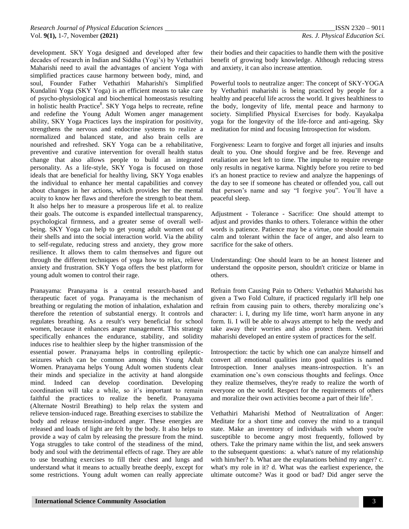development. SKY Yoga designed and developed after few decades of research in Indian and Siddha (Yogi's) by Vethathiri Maharishi need to avail the advantages of ancient Yoga with simplified practices cause harmony between body, mind, and soul, Founder Father Vethathiri Maharishi's Simplified Kundalini Yoga (SKY Yoga) is an efficient means to take care of psycho-physiological and biochemical homeostasis resulting in holistic health Practice<sup>8</sup>. SKY Yoga helps to recreate, refine and redefine the Young Adult Women anger management ability, SKY Yoga Practices lays the inspiration for positivity, strengthens the nervous and endocrine systems to realize a normalized and balanced state, and also brain cells are nourished and refreshed. SKY Yoga can be a rehabilitative, preventive and curative intervention for overall health status change that also allows people to build an integrated personality. As a life-style, SKY Yoga is focused on those ideals that are beneficial for healthy living, SKY Yoga enables the individual to enhance her mental capabilities and convey about changes in her actions, which provides her the mental acuity to know her flaws and therefore the strength to beat them. It also helps her to measure a prosperous life et al. to realize their goals. The outcome is expanded intellectual transparency, psychological firmness, and a greater sense of overall wellbeing. SKY Yoga can help to get young adult women out of their shells and into the social interaction world. Via the ability to self-regulate, reducing stress and anxiety, they grow more resilience. It allows them to calm themselves and figure out through the different techniques of yoga how to relax, relieve anxiety and frustration. SKY Yoga offers the best platform for young adult women to control their rage.

Pranayama: Pranayama is a central research-based and therapeutic facet of yoga. Pranayama is the mechanism of breathing or regulating the motion of inhalation, exhalation and therefore the retention of substantial energy. It controls and regulates breathing. As a result's very beneficial for school women, because it enhances anger management. This strategy specifically enhances the endurance, stability, and solidity induces rise to healthier sleep by the higher transmission of the essential power. Pranayama helps in controlling epilepticseizures which can be common among this Young Adult Women. Pranayama helps Young Adult women students clear their minds and specialize in the activity at hand alongside mind. Indeed can develop coordination. Developing coordination will take a while, so it's important to remain faithful the practices to realize the benefit. Pranayama (Alternate Nostril Breathing) to help relax the system and relieve tension-induced rage. Breathing exercises to stabilize the body and release tension-induced anger. These energies are released and loads of light are felt by the body. It also helps to provide a way of calm by releasing the pressure from the mind. Yoga struggles to take control of the steadiness of the mind, body and soul with the detrimental effects of rage. They are able to use breathing exercises to fill their chest and lungs and understand what it means to actually breathe deeply, except for some restrictions. Young adult women can really appreciate their bodies and their capacities to handle them with the positive benefit of growing body knowledge. Although reducing stress and anxiety, it can also increase attention.

Powerful tools to neutralize anger: The concept of SKY-YOGA by Vethathiri maharishi is being practiced by people for a healthy and peaceful life across the world. It gives healthiness to the body, longevity of life, mental peace and harmony to society. Simplified Physical Exercises for body. Kayakalpa yoga for the longevity of the life-force and anti-ageing. Sky meditation for mind and focusing Introspection for wisdom.

Forgiveness: Learn to forgive and forget all injuries and insults dealt to you. One should forgive and be free. Revenge and retaliation are best left to time. The impulse to require revenge only results in negative karma. Nightly before you retire to bed it's an honest practice to review and analyze the happenings of the day to see if someone has cheated or offended you, call out that person's name and say "I forgive you". You'll have a peaceful sleep.

Adjustment - Tolerance - Sacrifice: One should attempt to adjust and provides thanks to others. Tolerance within the other words is patience. Patience may be a virtue, one should remain calm and tolerant within the face of anger, and also learn to sacrifice for the sake of others.

Understanding: One should learn to be an honest listener and understand the opposite person, shouldn't criticize or blame in others.

Refrain from Causing Pain to Others: Vethathiri Maharishi has given a Two Fold Culture, if practiced regularly it'll help one refrain from causing pain to others, thereby moralizing one's character: i. I, during my life time, won't harm anyone in any form. Ii. I will be able to always attempt to help the needy and take away their worries and also protect them. Vethathiri maharishi developed an entire system of practices for the self.

Introspection: the tactic by which one can analyze himself and convert all emotional qualities into good qualities is named Introspection. Inner analyses means-introspection. It's an examination one's own conscious thoughts and feelings. Once they realize themselves, they're ready to realize the worth of everyone on the world. Respect for the requirements of others and moralize their own activities become a part of their life<sup>9</sup>.

Vethathiri Maharishi Method of Neutralization of Anger: Meditate for a short time and convey the mind to a tranquil state. Make an inventory of individuals with whom you're susceptible to become angry most frequently, followed by others. Take the primary name within the list, and seek answers to the subsequent questions: a. what's nature of my relationship with him/her? b. What are the explanations behind my anger? c. what's my role in it? d. What was the earliest experience, the ultimate outcome? Was it good or bad? Did anger serve the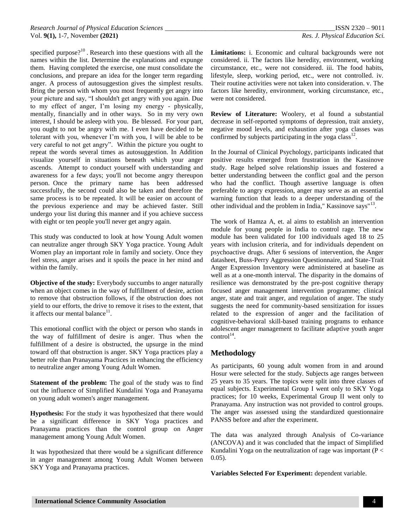specified purpose? $10^0$ . Research into these questions with all the names within the list. Determine the explanations and expunge them. Having completed the exercise, one must consolidate the conclusions, and prepare an idea for the longer term regarding anger. A process of autosuggestion gives the simplest results. Bring the person with whom you most frequently get angry into your picture and say, "I shouldn't get angry with you again. Due to my effect of anger, I'm losing my energy - physically, mentally, financially and in other ways. So in my very own interest, I should be asleep with you. Be blessed. For your part, you ought to not be angry with me. I even have decided to be tolerant with you, whenever I'm with you, I will be able to be very careful to not get angry". Within the picture you ought to repeat the words several times as autosuggestion. In Addition visualize yourself in situations beneath which your anger ascends. Attempt to conduct yourself with understanding and awareness for a few days; you'll not become angry thereupon person. Once the primary name has been addressed successfully, the second could also be taken and therefore the same process is to be repeated. It will be easier on account of the previous experience and may be achieved faster. Still undergo your list during this manner and if you achieve success with eight or ten people you'll never get angry again.

This study was conducted to look at how Young Adult women can neutralize anger through SKY Yoga practice. Young Adult Women play an important role in family and society. Once they feel stress, anger arises and it spoils the peace in her mind and within the family.

**Objective of the study:** Everybody succumbs to anger naturally when an object comes in the way of fulfillment of desire, action to remove that obstruction follows, if the obstruction does not yield to our efforts, the drive to remove it rises to the extent, that it affects our mental balance $11$ .

This emotional conflict with the object or person who stands in the way of fulfillment of desire is anger. Thus when the fulfillment of a desire is obstructed, the upsurge in the mind toward off that obstruction is anger. SKY Yoga practices play a better role than Pranayama Practices in enhancing the efficiency to neutralize anger among Young Adult Women.

**Statement of the problem:** The goal of the study was to find out the influence of Simplified Kundalini Yoga and Pranayama on young adult women's anger management.

**Hypothesis:** For the study it was hypothesized that there would be a significant difference in SKY Yoga practices and Pranayama practices than the control group on Anger management among Young Adult Women.

It was hypothesized that there would be a significant difference in anger management among Young Adult Women between SKY Yoga and Pranayama practices.

**Limitations:** i. Economic and cultural backgrounds were not considered. ii. The factors like heredity, environment, working circumstance, etc., were not considered. iii. The food habits, lifestyle, sleep, working period, etc., were not controlled. iv. Their routine activities were not taken into consideration. v. The factors like heredity, environment, working circumstance, etc., were not considered.

**Review of Literature:** Woolery, et al found a substantial decrease in self-reported symptoms of depression, trait anxiety, negative mood levels, and exhaustion after yoga classes was confirmed by subjects participating in the yoga class<sup>12</sup>.

In the Journal of Clinical Psychology, participants indicated that positive results emerged from frustration in the Kassinove study. Rage helped solve relationship issues and fostered a better understanding between the conflict goal and the person who had the conflict. Though assertive language is often preferable to angry expression, anger may serve as an essential warning function that leads to a deeper understanding of the other individual and the problem in India," Kassinove says"<sup>13</sup>.

The work of Hamza A, et. al aims to establish an intervention module for young people in India to control rage. The new module has been validated for 100 individuals aged 18 to 25 years with inclusion criteria, and for individuals dependent on psychoactive drugs. After 6 sessions of intervention, the Anger datasheet, Buss-Perry Aggression Questionnaire, and State-Trait Anger Expression Inventory were administered at baseline as well as at a one-month interval. The disparity in the domains of resilience was demonstrated by the pre-post cognitive therapy focused anger management intervention programme; clinical anger, state and trait anger, and regulation of anger. The study suggests the need for community-based sensitization for issues related to the expression of anger and the facilitation of cognitive-behavioral skill-based training programs to enhance adolescent anger management to facilitate adaptive youth anger  $control<sup>14</sup>$ .

## **Methodology**

As participants, 60 young adult women from in and around Hosur were selected for the study. Subjects age ranges between 25 years to 35 years. The topics were split into three classes of equal subjects. Experimental Group I went only to SKY Yoga practices; for 10 weeks, Experimental Group II went only to Pranayama. Any instruction was not provided to control groups. The anger was assessed using the standardized questionnaire PANSS before and after the experiment.

The data was analyzed through Analysis of Co-variance (ANCOVA) and it was concluded that the impact of Simplified Kundalini Yoga on the neutralization of rage was important ( $P <$ 0.05).

**Variables Selected For Experiment:** dependent variable.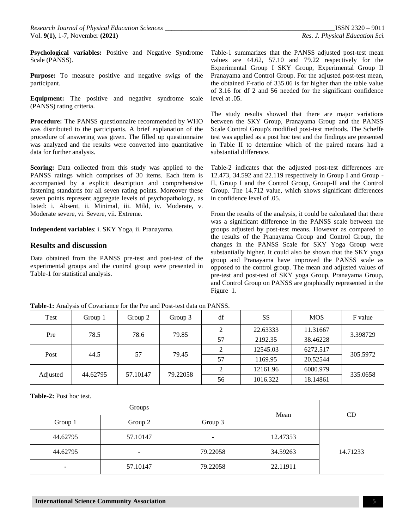**Psychological variables:** Positive and Negative Syndrome Scale (PANSS).

**Purpose:** To measure positive and negative swigs of the participant.

**Equipment:** The positive and negative syndrome scale (PANSS) rating criteria.

**Procedure:** The PANSS questionnaire recommended by WHO was distributed to the participants. A brief explanation of the procedure of answering was given. The filled up questionnaire was analyzed and the results were converted into quantitative data for further analysis.

**Scoring:** Data collected from this study was applied to the PANSS ratings which comprises of 30 items. Each item is accompanied by a explicit description and comprehensive fastening standards for all seven rating points. Moreover these seven points represent aggregate levels of psychopathology, as listed: i. Absent, ii. Minimal, iii. Mild, iv. Moderate, v. Moderate severe, vi. Severe, vii. Extreme.

**Independent variables**: i. SKY Yoga, ii. Pranayama.

#### **Results and discussion**

Data obtained from the PANSS pre-test and post-test of the experimental groups and the control group were presented in Table-1 for statistical analysis.

Table-1 summarizes that the PANSS adjusted post-test mean values are 44.62, 57.10 and 79.22 respectively for the Experimental Group I SKY Group, Experimental Group II Pranayama and Control Group. For the adjusted post-test mean, the obtained F-ratio of 335.06 is far higher than the table value of 3.16 for df 2 and 56 needed for the significant confidence level at .05.

The study results showed that there are major variations between the SKY Group, Pranayama Group and the PANSS Scale Control Group's modified post-test methods. The Scheffe test was applied as a post hoc test and the findings are presented in Table II to determine which of the paired means had a substantial difference.

Table-2 indicates that the adjusted post-test differences are 12.473, 34.592 and 22.119 respectively in Group I and Group - II, Group I and the Control Group, Group-II and the Control Group. The 14.712 value, which shows significant differences in confidence level of .05.

From the results of the analysis, it could be calculated that there was a significant difference in the PANSS scale between the groups adjusted by post-test means. However as compared to the results of the Pranayama Group and Control Group, the changes in the PANSS Scale for SKY Yoga Group were substantially higher. It could also be shown that the SKY yoga group and Pranayama have improved the PANSS scale as opposed to the control group. The mean and adjusted values of pre-test and post-test of SKY yoga Group, Pranayama Group, and Control Group on PANSS are graphically represented in the Figure–1.

| Test     | Group 1  | Group 2  | Group 3  | df | <b>SS</b> | <b>MOS</b> | F value  |
|----------|----------|----------|----------|----|-----------|------------|----------|
| Pre      | 78.5     | 78.6     | 79.85    |    | 22.63333  | 11.31667   | 3.398729 |
|          |          |          |          | 57 | 2192.35   | 38.46228   |          |
| Post     | 44.5     | 57       | 79.45    | 2  | 12545.03  | 6272.517   | 305.5972 |
|          |          |          |          | 57 | 1169.95   | 20.52544   |          |
| Adjusted | 44.62795 | 57.10147 | 79.22058 |    | 12161.96  | 6080.979   | 335.0658 |
|          |          |          |          | 56 | 1016.322  | 18.14861   |          |

**Table-1:** Analysis of Covariance for the Pre and Post-test data on PANSS.

**Table-2:** Post hoc test.

|                | Groups   | Mean                     | CD       |          |
|----------------|----------|--------------------------|----------|----------|
| Group 1        | Group 2  | Group 3                  |          |          |
| 44.62795       | 57.10147 | $\overline{\phantom{a}}$ | 12.47353 |          |
| 44.62795       | -        | 79.22058                 | 34.59263 | 14.71233 |
| $\blacksquare$ | 57.10147 | 79.22058                 | 22.11911 |          |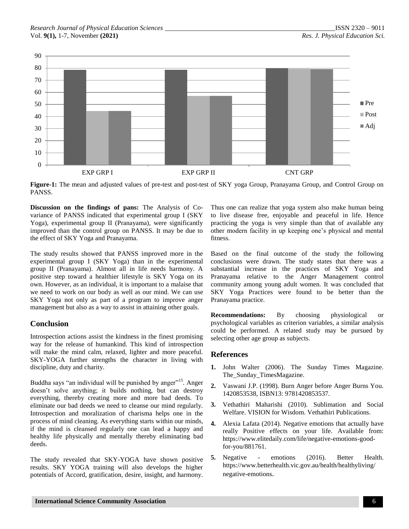

**Figure-1:** The mean and adjusted values of pre-test and post-test of SKY yoga Group, Pranayama Group, and Control Group on PANSS.

**Discussion on the findings of pans:** The Analysis of Covariance of PANSS indicated that experimental group I (SKY Yoga), experimental group II (Pranayama), were significantly improved than the control group on PANSS. It may be due to the effect of SKY Yoga and Pranayama.

The study results showed that PANSS improved more in the experimental group I (SKY Yoga) than in the experimental group II (Pranayama). Almost all in life needs harmony. A positive step toward a healthier lifestyle is SKY Yoga on its own. However, as an individual, it is important to a malaise that we need to work on our body as well as our mind. We can use SKY Yoga not only as part of a program to improve anger management but also as a way to assist in attaining other goals.

# **Conclusion**

Introspection actions assist the kindness in the finest promising way for the release of humankind. This kind of introspection will make the mind calm, relaxed, lighter and more peaceful. SKY-YOGA further strengths the character in living with discipline, duty and charity.

Buddha says "an individual will be punished by anger"<sup>15</sup>. Anger doesn't solve anything; it builds nothing, but can destroy everything, thereby creating more and more bad deeds. To eliminate our bad deeds we need to cleanse our mind regularly. Introspection and moralization of charisma helps one in the process of mind cleaning. As everything starts within our minds, if the mind is cleansed regularly one can lead a happy and healthy life physically and mentally thereby eliminating bad deeds.

The study revealed that SKY-YOGA have shown positive results. SKY YOGA training will also develops the higher potentials of Accord, gratification, desire, insight, and harmony. Thus one can realize that yoga system also make human being to live disease free, enjoyable and peaceful in life. Hence practicing the yoga is very simple than that of available any other modern facility in up keeping one's physical and mental fitness.

Based on the final outcome of the study the following conclusions were drawn. The study states that there was a substantial increase in the practices of SKY Yoga and Pranayama relative to the Anger Management control community among young adult women. It was concluded that SKY Yoga Practices were found to be better than the Pranayama practice.

**Recommendations:** By choosing physiological or psychological variables as criterion variables, a similar analysis could be performed. A related study may be pursued by selecting other age group as subjects.

## **References**

- **1.** John Walter (2006). The Sunday Times Magazine. The\_Sunday\_TimesMagazine.
- **2.** Vaswani J.P. (1998). Burn Anger before Anger Burns You. 1420853538, ISBN13: 9781420853537.
- **3.** Vethathiri Maharishi (2010). Sublimation and Social Welfare. VISION for Wisdom. Vethathiri Publications.
- **4.** Alexia Lafata (2014). Negative emotions that actually have really Positive effects on your life. Available from: [https://www.elitedaily.com/life/negative-emotions-good](https://www.elitedaily.com/life/negative-emotions-good-for-you/881761)[for-you/881761.](https://www.elitedaily.com/life/negative-emotions-good-for-you/881761)
- **5.** Negative emotions (2016). Better Health. [https://www.betterhealth.vic.gov.au/health/healthyliving/](https://www.betterhealth.vic.gov.au/health/healthyliving/negative-emotions) [negative-emotions](https://www.betterhealth.vic.gov.au/health/healthyliving/negative-emotions).